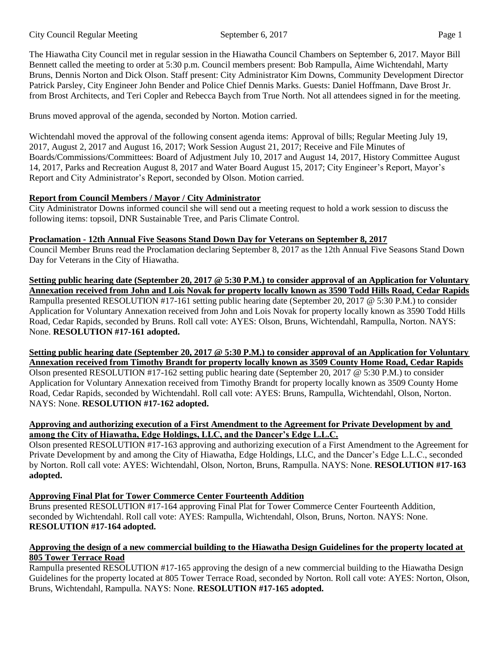The Hiawatha City Council met in regular session in the Hiawatha Council Chambers on September 6, 2017. Mayor Bill Bennett called the meeting to order at 5:30 p.m. Council members present: Bob Rampulla, Aime Wichtendahl, Marty Bruns, Dennis Norton and Dick Olson. Staff present: City Administrator Kim Downs, Community Development Director Patrick Parsley, City Engineer John Bender and Police Chief Dennis Marks. Guests: Daniel Hoffmann, Dave Brost Jr. from Brost Architects, and Teri Copler and Rebecca Baych from True North. Not all attendees signed in for the meeting.

Bruns moved approval of the agenda, seconded by Norton. Motion carried.

Wichtendahl moved the approval of the following consent agenda items: Approval of bills: Regular Meeting July 19, 2017, August 2, 2017 and August 16, 2017; Work Session August 21, 2017; Receive and File Minutes of Boards/Commissions/Committees: Board of Adjustment July 10, 2017 and August 14, 2017, History Committee August 14, 2017, Parks and Recreation August 8, 2017 and Water Board August 15, 2017; City Engineer's Report, Mayor's Report and City Administrator's Report, seconded by Olson. Motion carried.

# **Report from Council Members / Mayor / City Administrator**

City Administrator Downs informed council she will send out a meeting request to hold a work session to discuss the following items: topsoil, DNR Sustainable Tree, and Paris Climate Control.

## **Proclamation - 12th Annual Five Seasons Stand Down Day for Veterans on September 8, 2017**

Council Member Bruns read the Proclamation declaring September 8, 2017 as the 12th Annual Five Seasons Stand Down Day for Veterans in the City of Hiawatha.

**Setting public hearing date (September 20, 2017 @ 5:30 P.M.) to consider approval of an Application for Voluntary Annexation received from John and Lois Novak for property locally known as 3590 Todd Hills Road, Cedar Rapids** Rampulla presented RESOLUTION #17-161 setting public hearing date (September 20, 2017 @ 5:30 P.M.) to consider Application for Voluntary Annexation received from John and Lois Novak for property locally known as 3590 Todd Hills Road, Cedar Rapids, seconded by Bruns. Roll call vote: AYES: Olson, Bruns, Wichtendahl, Rampulla, Norton. NAYS: None. **RESOLUTION #17-161 adopted.** 

**Setting public hearing date (September 20, 2017 @ 5:30 P.M.) to consider approval of an Application for Voluntary Annexation received from Timothy Brandt for property locally known as 3509 County Home Road, Cedar Rapids**

Olson presented RESOLUTION #17-162 setting public hearing date (September 20, 2017 @ 5:30 P.M.) to consider Application for Voluntary Annexation received from Timothy Brandt for property locally known as 3509 County Home Road, Cedar Rapids, seconded by Wichtendahl. Roll call vote: AYES: Bruns, Rampulla, Wichtendahl, Olson, Norton. NAYS: None. **RESOLUTION #17-162 adopted.** 

# **Approving and authorizing execution of a First Amendment to the Agreement for Private Development by and among the City of Hiawatha, Edge Holdings, LLC, and the Dancer's Edge L.L.C.**

Olson presented RESOLUTION #17-163 approving and authorizing execution of a First Amendment to the Agreement for Private Development by and among the City of Hiawatha, Edge Holdings, LLC, and the Dancer's Edge L.L.C., seconded by Norton. Roll call vote: AYES: Wichtendahl, Olson, Norton, Bruns, Rampulla. NAYS: None. **RESOLUTION #17-163 adopted.** 

# **Approving Final Plat for Tower Commerce Center Fourteenth Addition**

Bruns presented RESOLUTION #17-164 approving Final Plat for Tower Commerce Center Fourteenth Addition, seconded by Wichtendahl. Roll call vote: AYES: Rampulla, Wichtendahl, Olson, Bruns, Norton. NAYS: None. **RESOLUTION #17-164 adopted.**

### Approving the design of a new commercial building to the Hiawatha Design Guidelines for the property located at **805 Tower Terrace Road**

Rampulla presented RESOLUTION #17-165 approving the design of a new commercial building to the Hiawatha Design Guidelines for the property located at 805 Tower Terrace Road, seconded by Norton. Roll call vote: AYES: Norton, Olson, Bruns, Wichtendahl, Rampulla. NAYS: None. **RESOLUTION #17-165 adopted.**